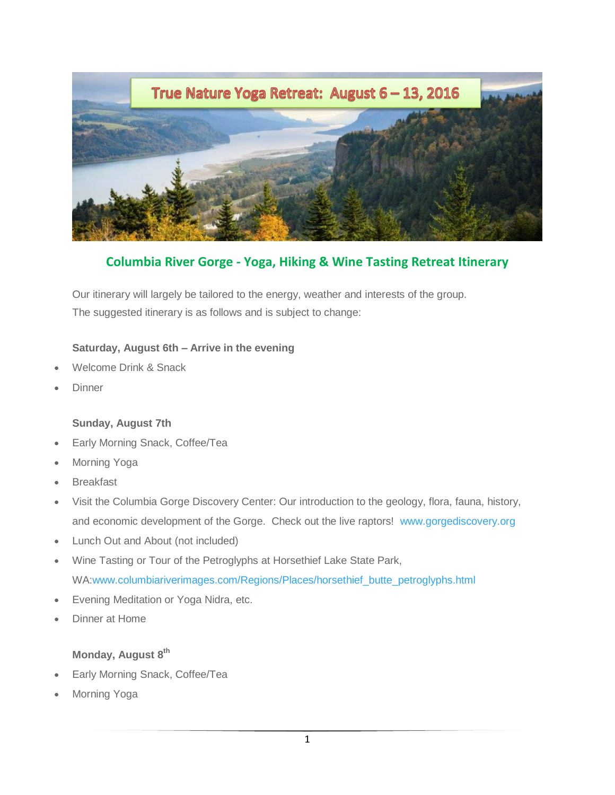

**Columbia River Gorge - Yoga, Hiking & Wine Tasting Retreat Itinerary**

Our itinerary will largely be tailored to the energy, weather and interests of the group. The suggested itinerary is as follows and is subject to change:

#### **Saturday, August 6th – Arrive in the evening**

- Welcome Drink & Snack
- **Dinner**

#### **Sunday, August 7th**

- Early Morning Snack, Coffee/Tea
- Morning Yoga
- **Breakfast**
- Visit the Columbia Gorge Discovery Center: Our introduction to the geology, flora, fauna, history, and economic development of the Gorge. Check out the live raptors! [www.gorgediscovery.org](http://www.gorgediscovery.org/)
- Lunch Out and About (not included)
- Wine Tasting or Tour of the Petroglyphs at Horsethief Lake State Park, WA[:www.columbiariverimages.com/Regions/Places/horsethief\\_butte\\_petroglyphs.html](http://www.columbiariverimages.com/Regions/Places/horsethief_butte_petroglyphs.html)
- Evening Meditation or Yoga Nidra, etc.
- Dinner at Home

### **Monday, August 8 th**

- Early Morning Snack, Coffee/Tea
- Morning Yoga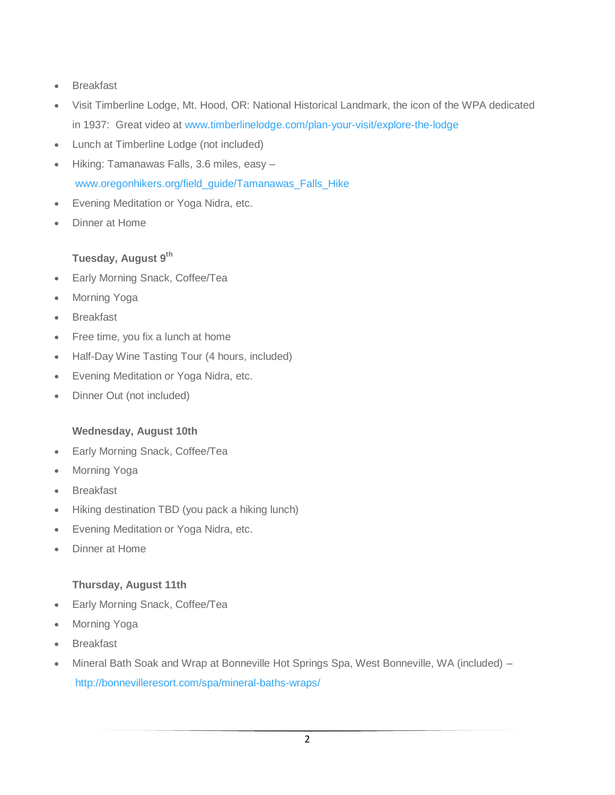- **•** Breakfast
- Visit Timberline Lodge, Mt. Hood, OR: National Historical Landmark, the icon of the WPA dedicated in 1937: Great video at [www.timberlinelodge.com/plan-your-visit/explore-the-lodge](http://www.timberlinelodge.com/plan-your-visit/explore-the-lodge)
- Lunch at Timberline Lodge (not included)
- Hiking: Tamanawas Falls, 3.6 miles, easy [www.oregonhikers.org/field\\_guide/Tamanawas\\_Falls\\_Hike](http://www.oregonhikers.org/field_guide/Tamanawas_Falls_Hike)
- Evening Meditation or Yoga Nidra, etc.
- Dinner at Home

# **Tuesday, August 9 th**

- Early Morning Snack, Coffee/Tea
- Morning Yoga
- Breakfast
- Free time, you fix a lunch at home
- Half-Day Wine Tasting Tour (4 hours, included)
- Evening Meditation or Yoga Nidra, etc.
- Dinner Out (not included)

### **Wednesday, August 10th**

- Early Morning Snack, Coffee/Tea
- Morning Yoga
- Breakfast
- Hiking destination TBD (you pack a hiking lunch)
- Evening Meditation or Yoga Nidra, etc.
- Dinner at Home

### **Thursday, August 11th**

- Early Morning Snack, Coffee/Tea
- Morning Yoga
- Breakfast
- Mineral Bath Soak and Wrap at Bonneville Hot Springs Spa, West Bonneville, WA (included) <http://bonnevilleresort.com/spa/mineral-baths-wraps/>